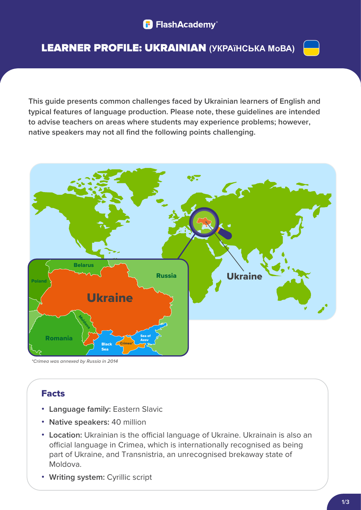# LEARNER PROFILE: UKRAINIAN **(УКРАїНСЬКА МоВА)**



**This guide presents common challenges faced by Ukrainian learners of English and typical features of language production. Please note, these guidelines are intended to advise teachers on areas where students may experience problems; however, native speakers may not all find the following points challenging.** 



*\*Crimea was annexed by Russia in 2014*

# Facts

- **• Language family:** Eastern Slavic
- **• Native speakers:** 40 million
- Location: Ukrainian is the official language of Ukraine. Ukrainain is also an official language in Crimea, which is internationally recognised as being part of Ukraine, and Transnistria, an unrecognised brekaway state of Moldova.
- **• Writing system:** Cyrillic script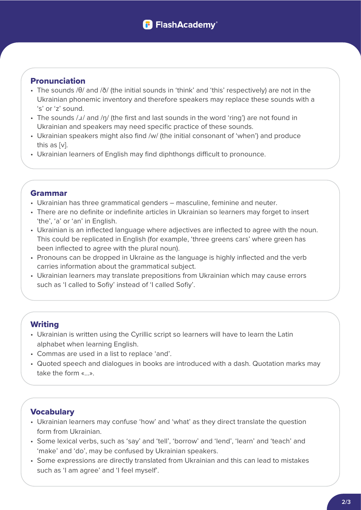### Pronunciation

- The sounds /θ/ and /ð/ (the initial sounds in 'think' and 'this' respectively) are not in the Ukrainian phonemic inventory and therefore speakers may replace these sounds with a 's' or 'z' sound.
- The sounds / J/ and /n/ (the first and last sounds in the word 'ring') are not found in Ukrainian and speakers may need specific practice of these sounds.
- Ukrainian speakers might also find /w/ (the initial consonant of 'when') and produce this as [v].
- Ukrainian learners of English may find diphthongs difficult to pronounce.

#### Grammar

- Ukrainian has three grammatical genders masculine, feminine and neuter.
- There are no definite or indefinite articles in Ukrainian so learners may forget to insert 'the', 'a' or 'an' in English.
- Ukrainian is an inflected language where adjectives are inflected to agree with the noun. This could be replicated in English (for example, 'three greens cars' where green has been inflected to agree with the plural noun).
- Pronouns can be dropped in Ukraine as the language is highly inflected and the verb carries information about the grammatical subject.
- Ukrainian learners may translate prepositions from Ukrainian which may cause errors such as 'I called to Sofiy' instead of 'I called Sofiy'.

## **Writing**

- Ukrainian is written using the Cyrillic script so learners will have to learn the Latin alphabet when learning English.
- Commas are used in a list to replace 'and'.
- Quoted speech and dialogues in books are introduced with a dash. Quotation marks may take the form «...».

## **Vocabulary**

- Ukrainian learners may confuse 'how' and 'what' as they direct translate the question form from Ukrainian.
- Some lexical verbs, such as 'say' and 'tell', 'borrow' and 'lend', 'learn' and 'teach' and 'make' and 'do', may be confused by Ukrainian speakers.
- Some expressions are directly translated from Ukrainian and this can lead to mistakes such as 'I am agree' and 'I feel myself'.